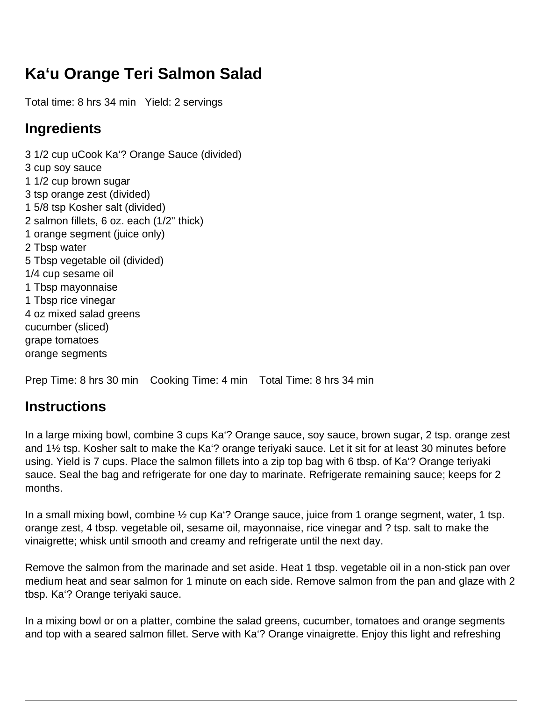## **Ka'u Orange Teri Salmon Salad**

Total time: 8 hrs 34 min Yield: 2 servings

## **Ingredients**

3 1/2 cup uCook Ka'? Orange Sauce (divided) 3 cup soy sauce 1 1/2 cup brown sugar 3 tsp orange zest (divided) 1 5/8 tsp Kosher salt (divided) 2 salmon fillets, 6 oz. each (1/2" thick) 1 orange segment (juice only) 2 Tbsp water 5 Tbsp vegetable oil (divided) 1/4 cup sesame oil 1 Tbsp mayonnaise 1 Tbsp rice vinegar 4 oz mixed salad greens cucumber (sliced) grape tomatoes orange segments

Prep Time: 8 hrs 30 min Cooking Time: 4 min Total Time: 8 hrs 34 min

## **Instructions**

In a large mixing bowl, combine 3 cups Ka'? Orange sauce, soy sauce, brown sugar, 2 tsp. orange zest and 1½ tsp. Kosher salt to make the Ka'? orange teriyaki sauce. Let it sit for at least 30 minutes before using. Yield is 7 cups. Place the salmon fillets into a zip top bag with 6 tbsp. of Ka'? Orange teriyaki sauce. Seal the bag and refrigerate for one day to marinate. Refrigerate remaining sauce; keeps for 2 months.

In a small mixing bowl, combine ½ cup Ka'? Orange sauce, juice from 1 orange segment, water, 1 tsp. orange zest, 4 tbsp. vegetable oil, sesame oil, mayonnaise, rice vinegar and ? tsp. salt to make the vinaigrette; whisk until smooth and creamy and refrigerate until the next day.

Remove the salmon from the marinade and set aside. Heat 1 tbsp. vegetable oil in a non-stick pan over medium heat and sear salmon for 1 minute on each side. Remove salmon from the pan and glaze with 2 tbsp. Ka'? Orange teriyaki sauce.

In a mixing bowl or on a platter, combine the salad greens, cucumber, tomatoes and orange segments and top with a seared salmon fillet. Serve with Ka'? Orange vinaigrette. Enjoy this light and refreshing